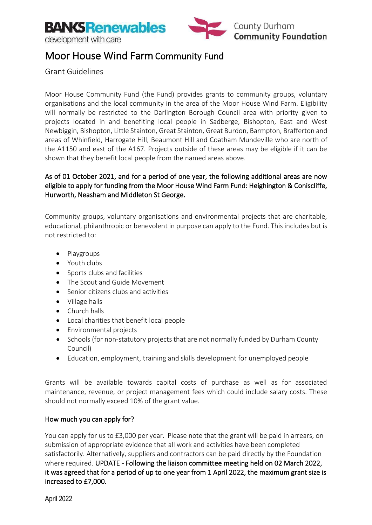

### Moor House Wind Farm Community Fund

Grant Guidelines

Moor House Community Fund (the Fund) provides grants to community groups, voluntary organisations and the local community in the area of the Moor House Wind Farm. Eligibility will normally be restricted to the Darlington Borough Council area with priority given to projects located in and benefiting local people in Sadberge, Bishopton, East and West Newbiggin, Bishopton, Little Stainton, Great Stainton, Great Burdon, Barmpton, Brafferton and areas of Whinfield, Harrogate Hill, Beaumont Hill and Coatham Mundeville who are north of the A1150 and east of the A167. Projects outside of these areas may be eligible if it can be shown that they benefit local people from the named areas above.

### As of 01 October 2021, and for a period of one year, the following additional areas are now eligible to apply for funding from the Moor House Wind Farm Fund: Heighington & Coniscliffe, Hurworth, Neasham and Middleton St George.

Community groups, voluntary organisations and environmental projects that are charitable, educational, philanthropic or benevolent in purpose can apply to the Fund. This includes but is not restricted to:

- Playgroups
- Youth clubs
- Sports clubs and facilities
- The Scout and Guide Movement
- Senior citizens clubs and activities
- Village halls
- Church halls
- Local charities that benefit local people
- Environmental projects
- Schools (for non-statutory projects that are not normally funded by Durham County Council)
- Education, employment, training and skills development for unemployed people

Grants will be available towards capital costs of purchase as well as for associated maintenance, revenue, or project management fees which could include salary costs. These should not normally exceed 10% of the grant value.

### How much you can apply for?

You can apply for us to £3,000 per year. Please note that the grant will be paid in arrears, on submission of appropriate evidence that all work and activities have been completed satisfactorily. Alternatively, suppliers and contractors can be paid directly by the Foundation where required. UPDATE - Following the liaison committee meeting held on 02 March 2022, it was agreed that for a period of up to one year from 1 April 2022, the maximum grant size is increased to £7,000.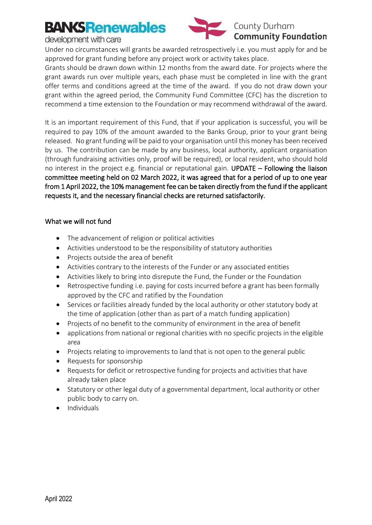## **BANKSRenewables**

development with care



Under no circumstances will grants be awarded retrospectively i.e. you must apply for and be approved for grant funding before any project work or activity takes place.

Grants should be drawn down within 12 months from the award date. For projects where the grant awards run over multiple years, each phase must be completed in line with the grant offer terms and conditions agreed at the time of the award. If you do not draw down your grant within the agreed period, the Community Fund Committee (CFC) has the discretion to recommend a time extension to the Foundation or may recommend withdrawal of the award.

It is an important requirement of this Fund, that if your application is successful, you will be required to pay 10% of the amount awarded to the Banks Group, prior to your grant being released. No grant funding will be paid to your organisation until this money has been received by us. The contribution can be made by any business, local authority, applicant organisation (through fundraising activities only, proof will be required), or local resident, who should hold no interest in the project e.g. financial or reputational gain. UPDATE – Following the liaison committee meeting held on 02 March 2022, it was agreed that for a period of up to one year from 1 April 2022, the 10% management fee can be taken directly from the fund if the applicant requests it, and the necessary financial checks are returned satisfactorily.

### What we will not fund

- The advancement of religion or political activities
- Activities understood to be the responsibility of statutory authorities
- Projects outside the area of benefit
- Activities contrary to the interests of the Funder or any associated entities
- Activities likely to bring into disrepute the Fund, the Funder or the Foundation
- Retrospective funding i.e. paying for costs incurred before a grant has been formally approved by the CFC and ratified by the Foundation
- Services or facilities already funded by the local authority or other statutory body at the time of application (other than as part of a match funding application)
- Projects of no benefit to the community of environment in the area of benefit
- applications from national or regional charities with no specific projects in the eligible area
- Projects relating to improvements to land that is not open to the general public
- Requests for sponsorship
- Requests for deficit or retrospective funding for projects and activities that have already taken place
- Statutory or other legal duty of a governmental department, local authority or other public body to carry on.
- Individuals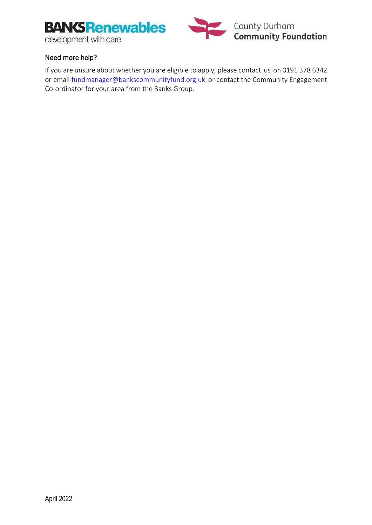



### Need more help?

If you are unsure about whether you are eligible to apply, please contact us on 0191 378 6342 or email [fundmanager@bankscommunityfund.org.uk](mailto:fundmanager@bankscommunityfund.org.uk) or contact the Community Engagement Co-ordinator for your area from the Banks Group.